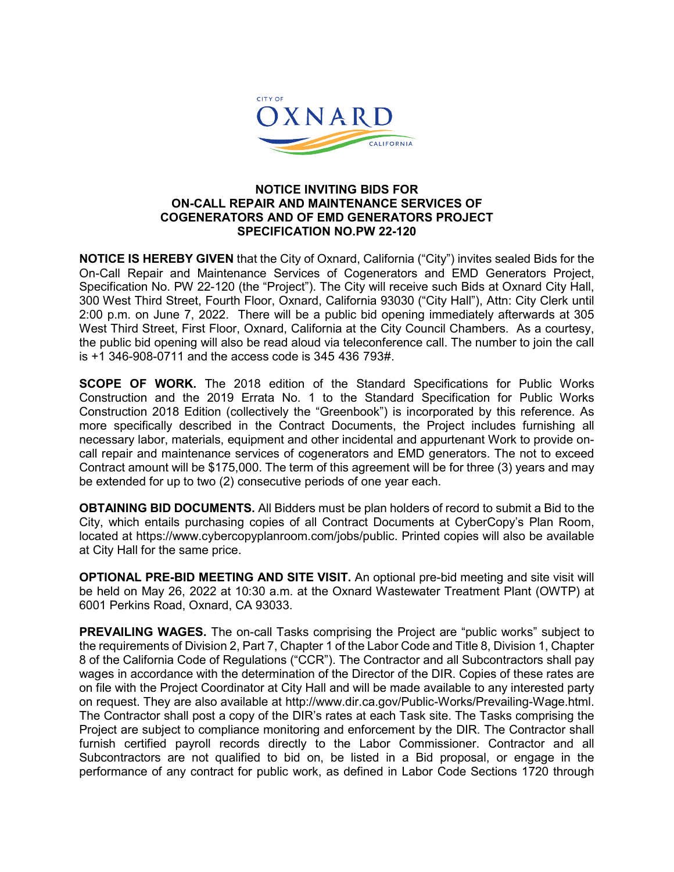

## **NOTICE INVITING BIDS FOR ON-CALL REPAIR AND MAINTENANCE SERVICES OF COGENERATORS AND OF EMD GENERATORS PROJECT SPECIFICATION NO.PW 22-120**

**NOTICE IS HEREBY GIVEN** that the City of Oxnard, California ("City") invites sealed Bids for the On-Call Repair and Maintenance Services of Cogenerators and EMD Generators Project, Specification No. PW 22-120 (the "Project"). The City will receive such Bids at Oxnard City Hall, 300 West Third Street, Fourth Floor, Oxnard, California 93030 ("City Hall"), Attn: City Clerk until 2:00 p.m. on June 7, 2022. There will be a public bid opening immediately afterwards at 305 West Third Street, First Floor, Oxnard, California at the City Council Chambers. As a courtesy, the public bid opening will also be read aloud via teleconference call. The number to join the call is +1 346-908-0711 and the access code is 345 436 793#.

**SCOPE OF WORK.** The 2018 edition of the Standard Specifications for Public Works Construction and the 2019 Errata No. 1 to the Standard Specification for Public Works Construction 2018 Edition (collectively the "Greenbook") is incorporated by this reference. As more specifically described in the Contract Documents, the Project includes furnishing all necessary labor, materials, equipment and other incidental and appurtenant Work to provide oncall repair and maintenance services of cogenerators and EMD generators. The not to exceed Contract amount will be \$175,000. The term of this agreement will be for three (3) years and may be extended for up to two (2) consecutive periods of one year each.

**OBTAINING BID DOCUMENTS.** All Bidders must be plan holders of record to submit a Bid to the City, which entails purchasing copies of all Contract Documents at CyberCopy's Plan Room, located at https://www.cybercopyplanroom.com/jobs/public. Printed copies will also be available at City Hall for the same price.

**OPTIONAL PRE-BID MEETING AND SITE VISIT.** An optional pre-bid meeting and site visit will be held on May 26, 2022 at 10:30 a.m. at the Oxnard Wastewater Treatment Plant (OWTP) at 6001 Perkins Road, Oxnard, CA 93033.

**PREVAILING WAGES.** The on-call Tasks comprising the Project are "public works" subject to the requirements of Division 2, Part 7, Chapter 1 of the Labor Code and Title 8, Division 1, Chapter 8 of the California Code of Regulations ("CCR"). The Contractor and all Subcontractors shall pay wages in accordance with the determination of the Director of the DIR. Copies of these rates are on file with the Project Coordinator at City Hall and will be made available to any interested party on request. They are also available at http://www.dir.ca.gov/Public-Works/Prevailing-Wage.html. The Contractor shall post a copy of the DIR's rates at each Task site. The Tasks comprising the Project are subject to compliance monitoring and enforcement by the DIR. The Contractor shall furnish certified payroll records directly to the Labor Commissioner. Contractor and all Subcontractors are not qualified to bid on, be listed in a Bid proposal, or engage in the performance of any contract for public work, as defined in Labor Code Sections 1720 through